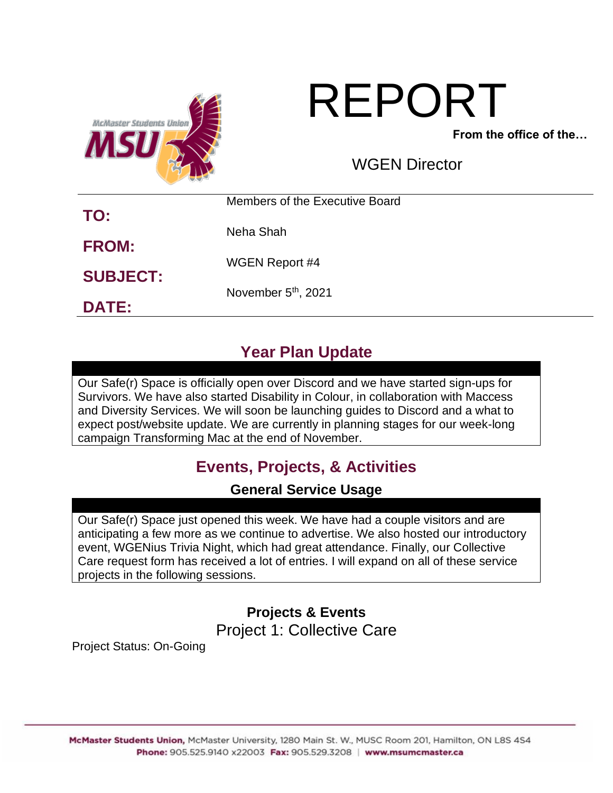

# REPORT

**From the office of the…**

WGEN Director

|                 | Members of the Executive Board  |  |
|-----------------|---------------------------------|--|
| TO:             | Neha Shah                       |  |
| <b>FROM:</b>    | <b>WGEN Report #4</b>           |  |
| <b>SUBJECT:</b> | November 5 <sup>th</sup> , 2021 |  |
| <b>DATE:</b>    |                                 |  |

# **Year Plan Update**

Our Safe(r) Space is officially open over Discord and we have started sign-ups for Survivors. We have also started Disability in Colour, in collaboration with Maccess and Diversity Services. We will soon be launching guides to Discord and a what to expect post/website update. We are currently in planning stages for our week-long campaign Transforming Mac at the end of November.

# **Events, Projects, & Activities**

## **General Service Usage**

Our Safe(r) Space just opened this week. We have had a couple visitors and are anticipating a few more as we continue to advertise. We also hosted our introductory event, WGENius Trivia Night, which had great attendance. Finally, our Collective Care request form has received a lot of entries. I will expand on all of these service projects in the following sessions.

> **Projects & Events** Project 1: Collective Care

Project Status: On-Going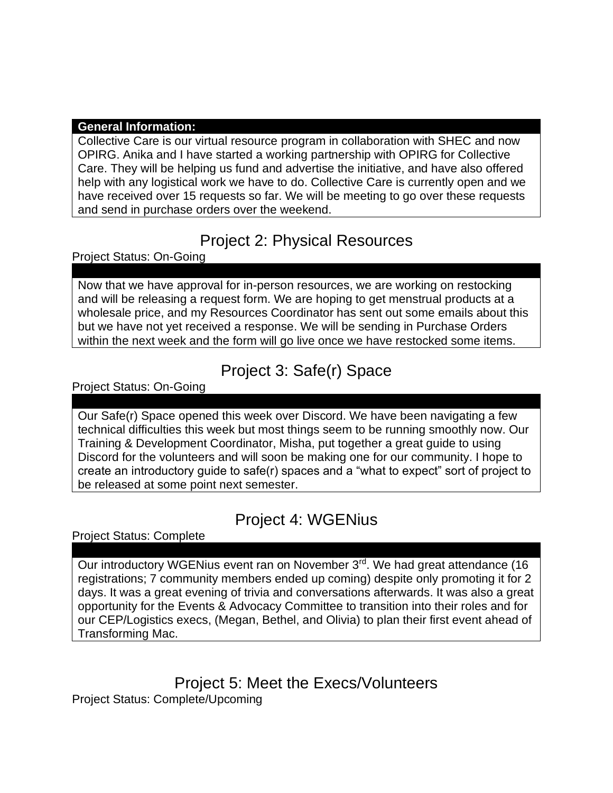#### **General Information:**

Collective Care is our virtual resource program in collaboration with SHEC and now OPIRG. Anika and I have started a working partnership with OPIRG for Collective Care. They will be helping us fund and advertise the initiative, and have also offered help with any logistical work we have to do. Collective Care is currently open and we have received over 15 requests so far. We will be meeting to go over these requests and send in purchase orders over the weekend.

# Project 2: Physical Resources

Project Status: On-Going

Now that we have approval for in-person resources, we are working on restocking and will be releasing a request form. We are hoping to get menstrual products at a wholesale price, and my Resources Coordinator has sent out some emails about this but we have not yet received a response. We will be sending in Purchase Orders within the next week and the form will go live once we have restocked some items.

## Project 3: Safe(r) Space

Project Status: On-Going

Our Safe(r) Space opened this week over Discord. We have been navigating a few technical difficulties this week but most things seem to be running smoothly now. Our Training & Development Coordinator, Misha, put together a great guide to using Discord for the volunteers and will soon be making one for our community. I hope to create an introductory guide to safe(r) spaces and a "what to expect" sort of project to be released at some point next semester.

# Project 4: WGENius

Project Status: Complete

Our introductory WGENius event ran on November 3<sup>rd</sup>. We had great attendance (16 registrations; 7 community members ended up coming) despite only promoting it for 2 days. It was a great evening of trivia and conversations afterwards. It was also a great opportunity for the Events & Advocacy Committee to transition into their roles and for our CEP/Logistics execs, (Megan, Bethel, and Olivia) to plan their first event ahead of Transforming Mac.

Project 5: Meet the Execs/Volunteers Project Status: Complete/Upcoming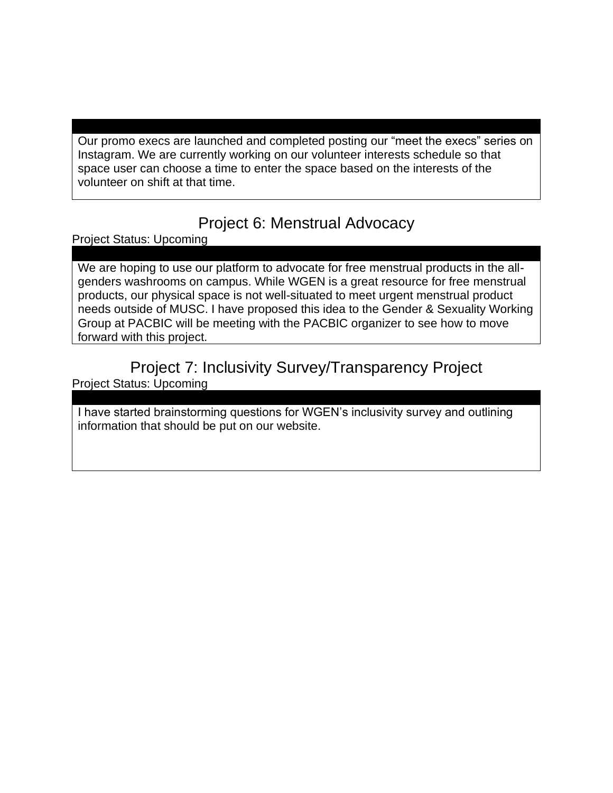Our promo execs are launched and completed posting our "meet the execs" series on Instagram. We are currently working on our volunteer interests schedule so that space user can choose a time to enter the space based on the interests of the volunteer on shift at that time.

## Project 6: Menstrual Advocacy

Project Status: Upcoming

We are hoping to use our platform to advocate for free menstrual products in the allgenders washrooms on campus. While WGEN is a great resource for free menstrual products, our physical space is not well-situated to meet urgent menstrual product needs outside of MUSC. I have proposed this idea to the Gender & Sexuality Working Group at PACBIC will be meeting with the PACBIC organizer to see how to move forward with this project.

## Project 7: Inclusivity Survey/Transparency Project Project Status: Upcoming

I have started brainstorming questions for WGEN's inclusivity survey and outlining information that should be put on our website.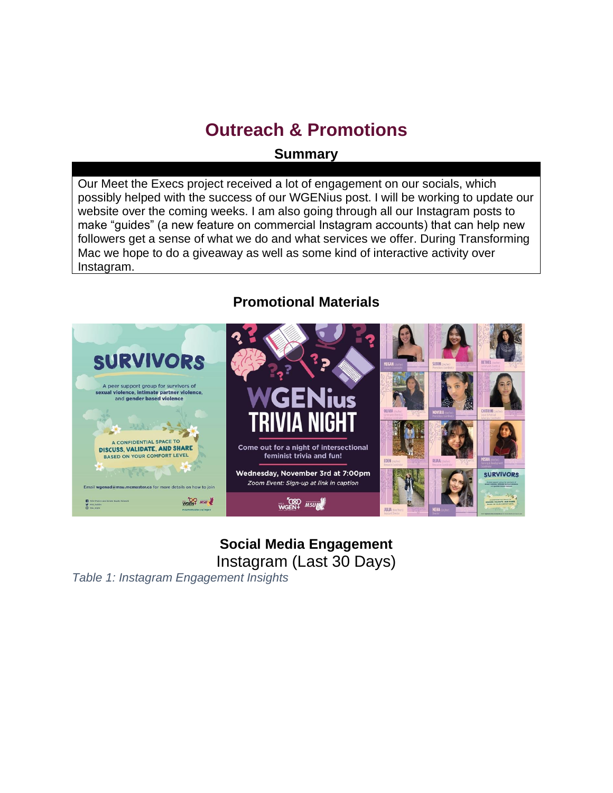# **Outreach & Promotions**

### **Summary**

Our Meet the Execs project received a lot of engagement on our socials, which possibly helped with the success of our WGENius post. I will be working to update our website over the coming weeks. I am also going through all our Instagram posts to make "guides" (a new feature on commercial Instagram accounts) that can help new followers get a sense of what we do and what services we offer. During Transforming Mac we hope to do a giveaway as well as some kind of interactive activity over Instagram.

## **Promotional Materials**



## **Social Media Engagement** Instagram (Last 30 Days)

*Table 1: Instagram Engagement Insights*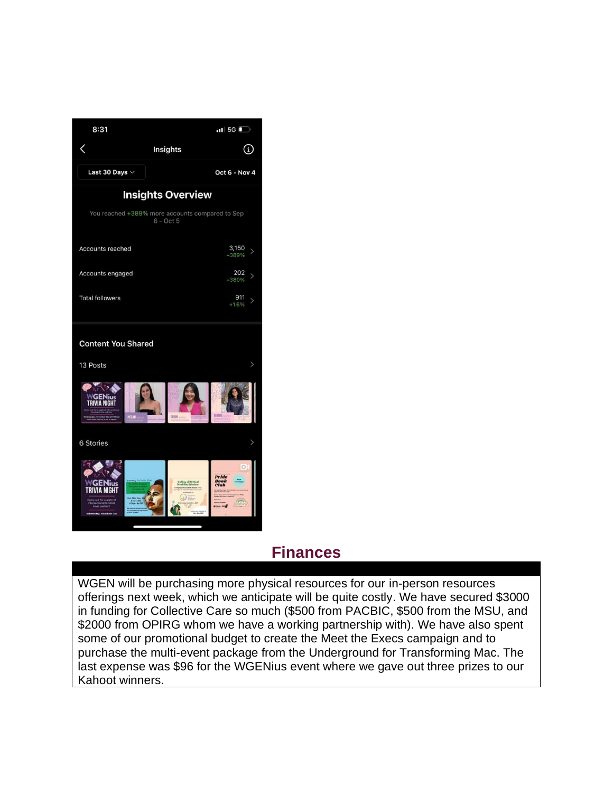

## **Finances**

WGEN will be purchasing more physical resources for our in-person resources offerings next week, which we anticipate will be quite costly. We have secured \$3000 in funding for Collective Care so much (\$500 from PACBIC, \$500 from the MSU, and \$2000 from OPIRG whom we have a working partnership with). We have also spent some of our promotional budget to create the Meet the Execs campaign and to purchase the multi-event package from the Underground for Transforming Mac. The last expense was \$96 for the WGENius event where we gave out three prizes to our Kahoot winners.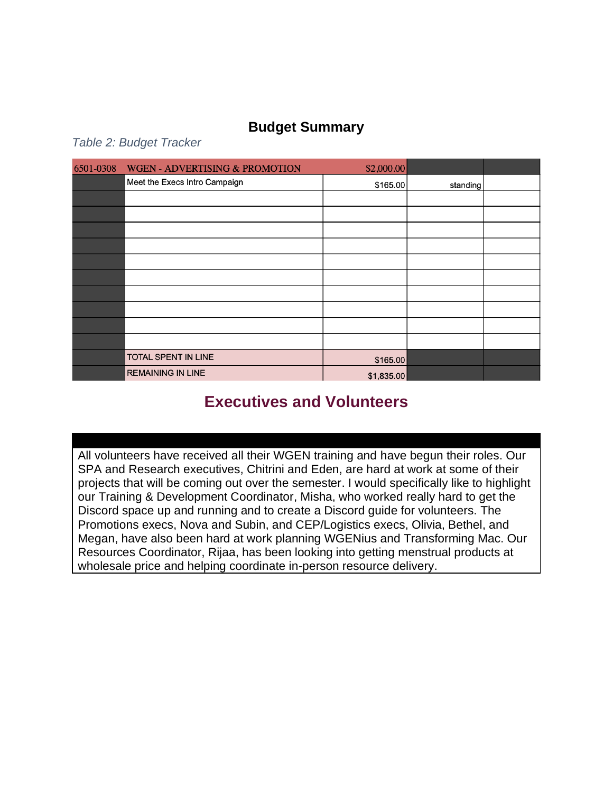## **Budget Summary**

*Table 2: Budget Tracker*

| 6501-0308 | <b>WGEN - ADVERTISING &amp; PROMOTION</b> | \$2,000.00 |                      |  |
|-----------|-------------------------------------------|------------|----------------------|--|
|           | Meet the Execs Intro Campaign             |            | \$165.00<br>standing |  |
|           |                                           |            |                      |  |
|           |                                           |            |                      |  |
|           |                                           |            |                      |  |
|           |                                           |            |                      |  |
|           |                                           |            |                      |  |
|           |                                           |            |                      |  |
|           |                                           |            |                      |  |
|           |                                           |            |                      |  |
|           |                                           |            |                      |  |
|           |                                           |            |                      |  |
|           | TOTAL SPENT IN LINE                       | \$165.00   |                      |  |
|           | <b>REMAINING IN LINE</b>                  | \$1,835.00 |                      |  |

# **Executives and Volunteers**

All volunteers have received all their WGEN training and have begun their roles. Our SPA and Research executives, Chitrini and Eden, are hard at work at some of their projects that will be coming out over the semester. I would specifically like to highlight our Training & Development Coordinator, Misha, who worked really hard to get the Discord space up and running and to create a Discord guide for volunteers. The Promotions execs, Nova and Subin, and CEP/Logistics execs, Olivia, Bethel, and Megan, have also been hard at work planning WGENius and Transforming Mac. Our Resources Coordinator, Rijaa, has been looking into getting menstrual products at wholesale price and helping coordinate in-person resource delivery.